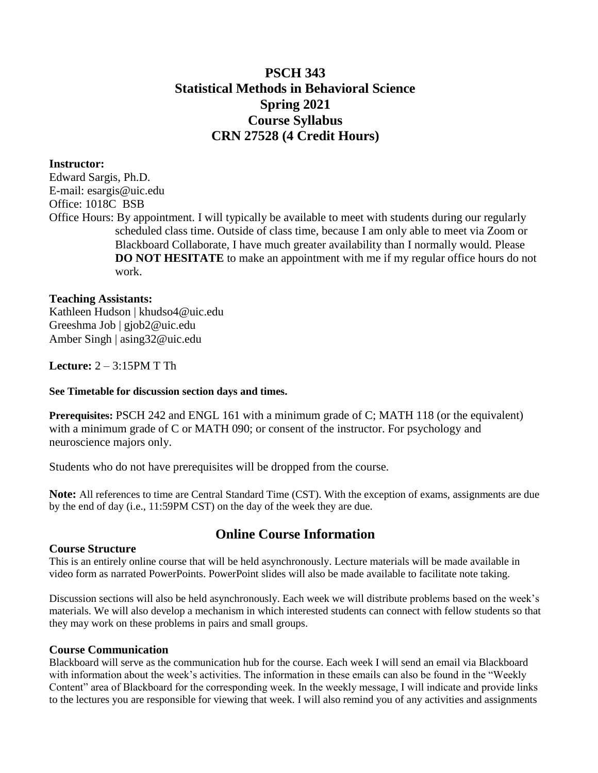# **PSCH 343 Statistical Methods in Behavioral Science Spring 2021 Course Syllabus CRN 27528 (4 Credit Hours)**

## **Instructor:**

Edward Sargis, Ph.D. E-mail: [esargis@uic.edu](mailto:esargis@uic.edu) Office: 1018C BSB Office Hours: By appointment. I will typically be available to meet with students during our regularly scheduled class time. Outside of class time, because I am only able to meet via Zoom or Blackboard Collaborate, I have much greater availability than I normally would. Please **DO NOT HESITATE** to make an appointment with me if my regular office hours do not work.

### **Teaching Assistants:**

Kathleen Hudson | khudso4@uic.edu Greeshma Job | gjob2@uic.edu Amber Singh | asing32@uic.edu

**Lecture:** 2 – 3:15PM T Th

#### **See Timetable for discussion section days and times.**

**Prerequisites: PSCH 242 and ENGL 161 with a minimum grade of C; MATH 118 (or the equivalent)** with a minimum grade of C or MATH 090; or consent of the instructor. For psychology and neuroscience majors only.

Students who do not have prerequisites will be dropped from the course.

**Note:** All references to time are Central Standard Time (CST). With the exception of exams, assignments are due by the end of day (i.e., 11:59PM CST) on the day of the week they are due.

# **Online Course Information**

#### **Course Structure**

This is an entirely online course that will be held asynchronously. Lecture materials will be made available in video form as narrated PowerPoints. PowerPoint slides will also be made available to facilitate note taking.

Discussion sections will also be held asynchronously. Each week we will distribute problems based on the week's materials. We will also develop a mechanism in which interested students can connect with fellow students so that they may work on these problems in pairs and small groups.

#### **Course Communication**

Blackboard will serve as the communication hub for the course. Each week I will send an email via Blackboard with information about the week's activities. The information in these emails can also be found in the "Weekly Content" area of Blackboard for the corresponding week. In the weekly message, I will indicate and provide links to the lectures you are responsible for viewing that week. I will also remind you of any activities and assignments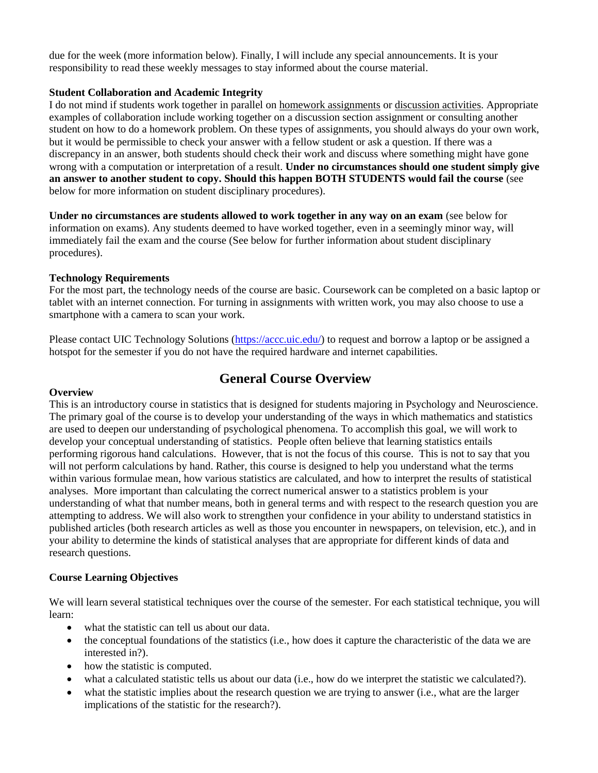due for the week (more information below). Finally, I will include any special announcements. It is your responsibility to read these weekly messages to stay informed about the course material.

#### **Student Collaboration and Academic Integrity**

I do not mind if students work together in parallel on homework assignments or discussion activities. Appropriate examples of collaboration include working together on a discussion section assignment or consulting another student on how to do a homework problem. On these types of assignments, you should always do your own work, but it would be permissible to check your answer with a fellow student or ask a question. If there was a discrepancy in an answer, both students should check their work and discuss where something might have gone wrong with a computation or interpretation of a result. **Under no circumstances should one student simply give an answer to another student to copy. Should this happen BOTH STUDENTS would fail the course** (see below for more information on student disciplinary procedures).

**Under no circumstances are students allowed to work together in any way on an exam** (see below for information on exams). Any students deemed to have worked together, even in a seemingly minor way, will immediately fail the exam and the course (See below for further information about student disciplinary procedures).

#### **Technology Requirements**

For the most part, the technology needs of the course are basic. Coursework can be completed on a basic laptop or tablet with an internet connection. For turning in assignments with written work, you may also choose to use a smartphone with a camera to scan your work.

Please contact UIC Technology Solutions [\(https://accc.uic.edu/\)](https://accc.uic.edu/) to request and borrow a laptop or be assigned a hotspot for the semester if you do not have the required hardware and internet capabilities.

## **General Course Overview**

#### **Overview**

This is an introductory course in statistics that is designed for students majoring in Psychology and Neuroscience. The primary goal of the course is to develop your understanding of the ways in which mathematics and statistics are used to deepen our understanding of psychological phenomena. To accomplish this goal, we will work to develop your conceptual understanding of statistics. People often believe that learning statistics entails performing rigorous hand calculations. However, that is not the focus of this course. This is not to say that you will not perform calculations by hand. Rather, this course is designed to help you understand what the terms within various formulae mean, how various statistics are calculated, and how to interpret the results of statistical analyses. More important than calculating the correct numerical answer to a statistics problem is your understanding of what that number means, both in general terms and with respect to the research question you are attempting to address. We will also work to strengthen your confidence in your ability to understand statistics in published articles (both research articles as well as those you encounter in newspapers, on television, etc.), and in your ability to determine the kinds of statistical analyses that are appropriate for different kinds of data and research questions.

#### **Course Learning Objectives**

We will learn several statistical techniques over the course of the semester. For each statistical technique, you will learn:

- what the statistic can tell us about our data.
- $\bullet$  the conceptual foundations of the statistics (i.e., how does it capture the characteristic of the data we are interested in?).
- how the statistic is computed.
- what a calculated statistic tells us about our data (i.e., how do we interpret the statistic we calculated?).
- what the statistic implies about the research question we are trying to answer (i.e., what are the larger implications of the statistic for the research?).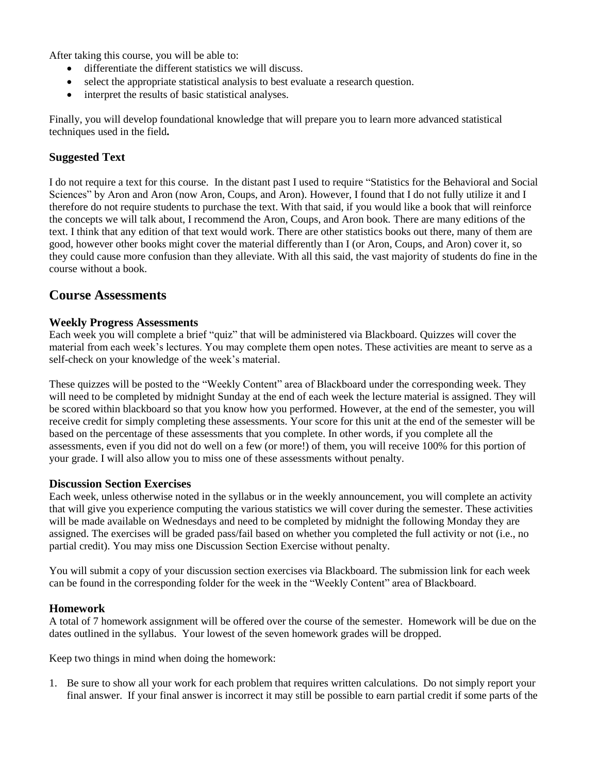After taking this course, you will be able to:

- differentiate the different statistics we will discuss.
- select the appropriate statistical analysis to best evaluate a research question.
- interpret the results of basic statistical analyses.

Finally, you will develop foundational knowledge that will prepare you to learn more advanced statistical techniques used in the field**.**

## **Suggested Text**

I do not require a text for this course. In the distant past I used to require "Statistics for the Behavioral and Social Sciences" by Aron and Aron (now Aron, Coups, and Aron). However, I found that I do not fully utilize it and I therefore do not require students to purchase the text. With that said, if you would like a book that will reinforce the concepts we will talk about, I recommend the Aron, Coups, and Aron book. There are many editions of the text. I think that any edition of that text would work. There are other statistics books out there, many of them are good, however other books might cover the material differently than I (or Aron, Coups, and Aron) cover it, so they could cause more confusion than they alleviate. With all this said, the vast majority of students do fine in the course without a book.

## **Course Assessments**

#### **Weekly Progress Assessments**

Each week you will complete a brief "quiz" that will be administered via Blackboard. Quizzes will cover the material from each week's lectures. You may complete them open notes. These activities are meant to serve as a self-check on your knowledge of the week's material.

These quizzes will be posted to the "Weekly Content" area of Blackboard under the corresponding week. They will need to be completed by midnight Sunday at the end of each week the lecture material is assigned. They will be scored within blackboard so that you know how you performed. However, at the end of the semester, you will receive credit for simply completing these assessments. Your score for this unit at the end of the semester will be based on the percentage of these assessments that you complete. In other words, if you complete all the assessments, even if you did not do well on a few (or more!) of them, you will receive 100% for this portion of your grade. I will also allow you to miss one of these assessments without penalty.

#### **Discussion Section Exercises**

Each week, unless otherwise noted in the syllabus or in the weekly announcement, you will complete an activity that will give you experience computing the various statistics we will cover during the semester. These activities will be made available on Wednesdays and need to be completed by midnight the following Monday they are assigned. The exercises will be graded pass/fail based on whether you completed the full activity or not (i.e., no partial credit). You may miss one Discussion Section Exercise without penalty.

You will submit a copy of your discussion section exercises via Blackboard. The submission link for each week can be found in the corresponding folder for the week in the "Weekly Content" area of Blackboard.

#### **Homework**

A total of 7 homework assignment will be offered over the course of the semester. Homework will be due on the dates outlined in the syllabus. Your lowest of the seven homework grades will be dropped.

Keep two things in mind when doing the homework:

1. Be sure to show all your work for each problem that requires written calculations. Do not simply report your final answer. If your final answer is incorrect it may still be possible to earn partial credit if some parts of the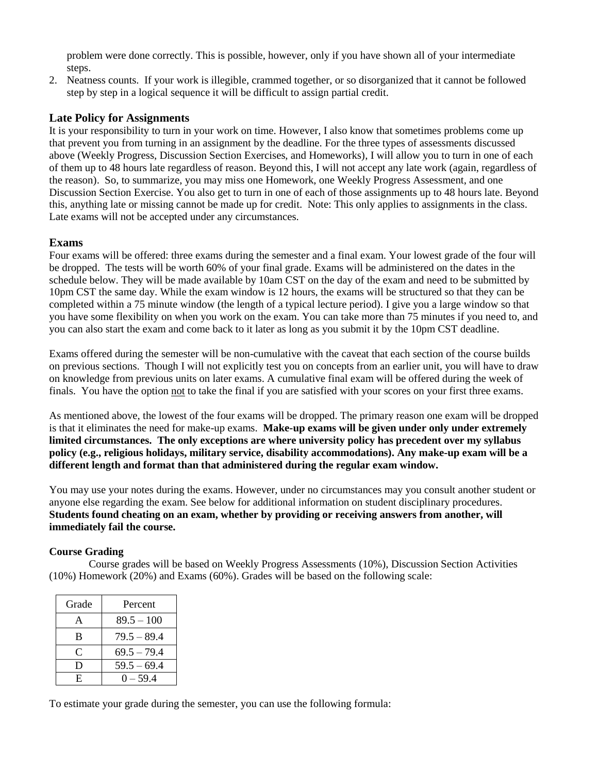problem were done correctly. This is possible, however, only if you have shown all of your intermediate steps.

2. Neatness counts. If your work is illegible, crammed together, or so disorganized that it cannot be followed step by step in a logical sequence it will be difficult to assign partial credit.

## **Late Policy for Assignments**

It is your responsibility to turn in your work on time. However, I also know that sometimes problems come up that prevent you from turning in an assignment by the deadline. For the three types of assessments discussed above (Weekly Progress, Discussion Section Exercises, and Homeworks), I will allow you to turn in one of each of them up to 48 hours late regardless of reason. Beyond this, I will not accept any late work (again, regardless of the reason). So, to summarize, you may miss one Homework, one Weekly Progress Assessment, and one Discussion Section Exercise. You also get to turn in one of each of those assignments up to 48 hours late. Beyond this, anything late or missing cannot be made up for credit. Note: This only applies to assignments in the class. Late exams will not be accepted under any circumstances.

## **Exams**

Four exams will be offered: three exams during the semester and a final exam. Your lowest grade of the four will be dropped. The tests will be worth 60% of your final grade. Exams will be administered on the dates in the schedule below. They will be made available by 10am CST on the day of the exam and need to be submitted by 10pm CST the same day. While the exam window is 12 hours, the exams will be structured so that they can be completed within a 75 minute window (the length of a typical lecture period). I give you a large window so that you have some flexibility on when you work on the exam. You can take more than 75 minutes if you need to, and you can also start the exam and come back to it later as long as you submit it by the 10pm CST deadline.

Exams offered during the semester will be non-cumulative with the caveat that each section of the course builds on previous sections. Though I will not explicitly test you on concepts from an earlier unit, you will have to draw on knowledge from previous units on later exams. A cumulative final exam will be offered during the week of finals. You have the option not to take the final if you are satisfied with your scores on your first three exams.

As mentioned above, the lowest of the four exams will be dropped. The primary reason one exam will be dropped is that it eliminates the need for make-up exams. **Make-up exams will be given under only under extremely limited circumstances. The only exceptions are where university policy has precedent over my syllabus policy (e.g., religious holidays, military service, disability accommodations). Any make-up exam will be a different length and format than that administered during the regular exam window.** 

You may use your notes during the exams. However, under no circumstances may you consult another student or anyone else regarding the exam. See below for additional information on student disciplinary procedures. **Students found cheating on an exam, whether by providing or receiving answers from another, will immediately fail the course.**

## **Course Grading**

Course grades will be based on Weekly Progress Assessments (10%), Discussion Section Activities (10%) Homework (20%) and Exams (60%). Grades will be based on the following scale:

| Grade | Percent       |
|-------|---------------|
| A     | $89.5 - 100$  |
| B     | $79.5 - 89.4$ |
| C     | $69.5 - 79.4$ |
| Ð     | $59.5 - 69.4$ |
| F.    | $0 - 594$     |

To estimate your grade during the semester, you can use the following formula: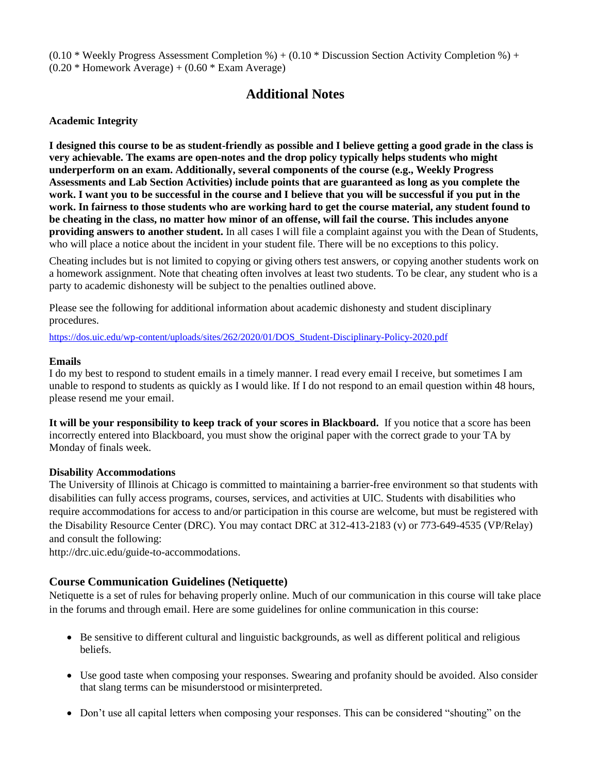$(0.10 * \text{Weekly Progress Assessment Completion } \%) + (0.10 * \text{Discussion Section Activity completion } \%) +$  $(0.20 *$  Homework Average) +  $(0.60 *$  Exam Average)

# **Additional Notes**

### **Academic Integrity**

**I designed this course to be as student-friendly as possible and I believe getting a good grade in the class is very achievable. The exams are open-notes and the drop policy typically helps students who might underperform on an exam. Additionally, several components of the course (e.g., Weekly Progress Assessments and Lab Section Activities) include points that are guaranteed as long as you complete the work. I want you to be successful in the course and I believe that you will be successful if you put in the work. In fairness to those students who are working hard to get the course material, any student found to be cheating in the class, no matter how minor of an offense, will fail the course. This includes anyone providing answers to another student.** In all cases I will file a complaint against you with the Dean of Students, who will place a notice about the incident in your student file. There will be no exceptions to this policy.

Cheating includes but is not limited to copying or giving others test answers, or copying another students work on a homework assignment. Note that cheating often involves at least two students. To be clear, any student who is a party to academic dishonesty will be subject to the penalties outlined above.

Please see the following for additional information about academic dishonesty and student disciplinary procedures.

[https://dos.uic.edu/wp-content/uploads/sites/262/2020/01/DOS\\_Student-Disciplinary-Policy-2020.pdf](https://dos.uic.edu/wp-content/uploads/sites/262/2020/01/DOS_Student-Disciplinary-Policy-2020.pdf)

#### **Emails**

I do my best to respond to student emails in a timely manner. I read every email I receive, but sometimes I am unable to respond to students as quickly as I would like. If I do not respond to an email question within 48 hours, please resend me your email.

**It will be your responsibility to keep track of your scores in Blackboard.** If you notice that a score has been incorrectly entered into Blackboard, you must show the original paper with the correct grade to your TA by Monday of finals week.

#### **Disability Accommodations**

The University of Illinois at Chicago is committed to maintaining a barrier-free environment so that students with disabilities can fully access programs, courses, services, and activities at UIC. Students with disabilities who require accommodations for access to and/or participation in this course are welcome, but must be registered with the Disability Resource Center (DRC). You may contact DRC at 312-413-2183 (v) or 773-649-4535 (VP/Relay) and consult the following:

[http://drc.uic.edu/guide-to-accommodations.](http://drc.uic.edu/guide-to-accommodations)

#### **Course Communication Guidelines (Netiquette)**

Netiquette is a set of rules for behaving properly online. Much of our communication in this course will take place in the forums and through email. Here are some guidelines for online communication in this course:

- Be sensitive to different cultural and linguistic backgrounds, as well as different political and religious beliefs.
- Use good taste when composing your responses. Swearing and profanity should be avoided. Also consider that slang terms can be misunderstood or misinterpreted.
- Don't use all capital letters when composing your responses. This can be considered "shouting" on the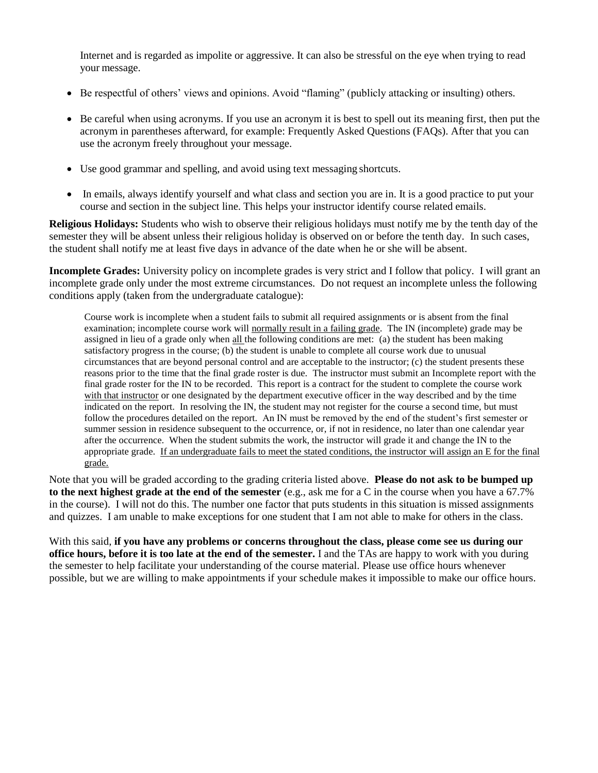Internet and is regarded as impolite or aggressive. It can also be stressful on the eye when trying to read your message.

- Be respectful of others' views and opinions. Avoid "flaming" (publicly attacking or insulting) others.
- Be careful when using acronyms. If you use an acronym it is best to spell out its meaning first, then put the acronym in parentheses afterward, for example: Frequently Asked Questions (FAQs). After that you can use the acronym freely throughout your message.
- Use good grammar and spelling, and avoid using text messaging shortcuts.
- In emails, always identify yourself and what class and section you are in. It is a good practice to put your course and section in the subject line. This helps your instructor identify course related emails.

**Religious Holidays:** Students who wish to observe their religious holidays must notify me by the tenth day of the semester they will be absent unless their religious holiday is observed on or before the tenth day. In such cases, the student shall notify me at least five days in advance of the date when he or she will be absent.

**Incomplete Grades:** University policy on incomplete grades is very strict and I follow that policy. I will grant an incomplete grade only under the most extreme circumstances. Do not request an incomplete unless the following conditions apply (taken from the undergraduate catalogue):

Course work is incomplete when a student fails to submit all required assignments or is absent from the final examination; incomplete course work will normally result in a failing grade. The IN (incomplete) grade may be assigned in lieu of a grade only when all the following conditions are met: (a) the student has been making satisfactory progress in the course; (b) the student is unable to complete all course work due to unusual circumstances that are beyond personal control and are acceptable to the instructor; (c) the student presents these reasons prior to the time that the final grade roster is due. The instructor must submit an Incomplete report with the final grade roster for the IN to be recorded. This report is a contract for the student to complete the course work with that instructor or one designated by the department executive officer in the way described and by the time indicated on the report. In resolving the IN, the student may not register for the course a second time, but must follow the procedures detailed on the report. An IN must be removed by the end of the student's first semester or summer session in residence subsequent to the occurrence, or, if not in residence, no later than one calendar year after the occurrence. When the student submits the work, the instructor will grade it and change the IN to the appropriate grade. If an undergraduate fails to meet the stated conditions, the instructor will assign an E for the final grade.

Note that you will be graded according to the grading criteria listed above. **Please do not ask to be bumped up to the next highest grade at the end of the semester** (e.g., ask me for a C in the course when you have a 67.7% in the course). I will not do this. The number one factor that puts students in this situation is missed assignments and quizzes. I am unable to make exceptions for one student that I am not able to make for others in the class.

With this said, **if you have any problems or concerns throughout the class, please come see us during our office hours, before it is too late at the end of the semester.** I and the TAs are happy to work with you during the semester to help facilitate your understanding of the course material. Please use office hours whenever possible, but we are willing to make appointments if your schedule makes it impossible to make our office hours.